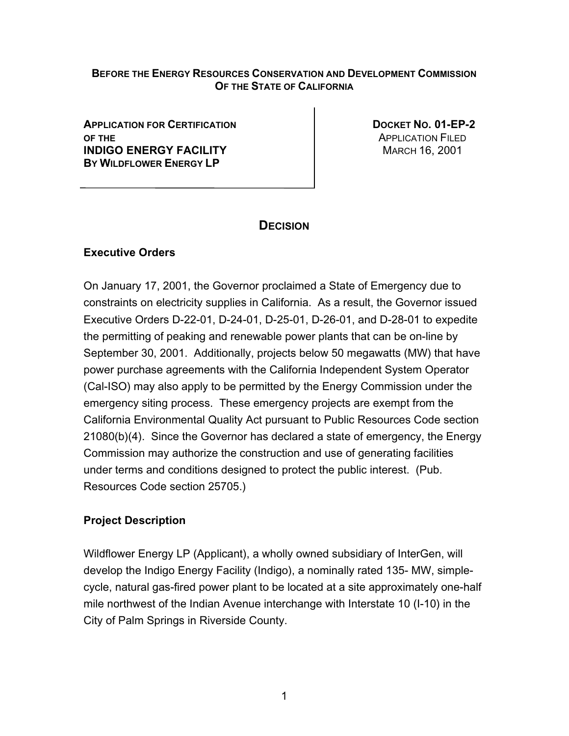### **BEFORE THE ENERGY RESOURCES CONSERVATION AND DEVELOPMENT COMMISSION OF THE STATE OF CALIFORNIA**

**APPLICATION FOR CERTIFICATION DOCKET NO. 01-EP-2 OF THE** APPLICATION FILED **INDIGO ENERGY FACILITY MARCH 16, 2001 BY WILDFLOWER ENERGY LP**

# **DECISION**

## **Executive Orders**

On January 17, 2001, the Governor proclaimed a State of Emergency due to constraints on electricity supplies in California. As a result, the Governor issued Executive Orders D-22-01, D-24-01, D-25-01, D-26-01, and D-28-01 to expedite the permitting of peaking and renewable power plants that can be on-line by September 30, 2001. Additionally, projects below 50 megawatts (MW) that have power purchase agreements with the California Independent System Operator (Cal-ISO) may also apply to be permitted by the Energy Commission under the emergency siting process. These emergency projects are exempt from the California Environmental Quality Act pursuant to Public Resources Code section 21080(b)(4). Since the Governor has declared a state of emergency, the Energy Commission may authorize the construction and use of generating facilities under terms and conditions designed to protect the public interest. (Pub. Resources Code section 25705.)

## **Project Description**

Wildflower Energy LP (Applicant), a wholly owned subsidiary of InterGen, will develop the Indigo Energy Facility (Indigo), a nominally rated 135- MW, simplecycle, natural gas-fired power plant to be located at a site approximately one-half mile northwest of the Indian Avenue interchange with Interstate 10 (I-10) in the City of Palm Springs in Riverside County.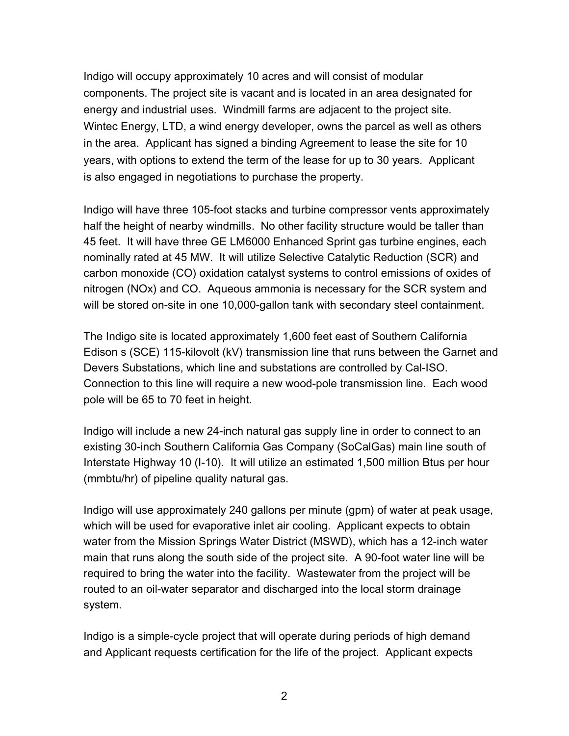Indigo will occupy approximately 10 acres and will consist of modular components. The project site is vacant and is located in an area designated for energy and industrial uses. Windmill farms are adjacent to the project site. Wintec Energy, LTD, a wind energy developer, owns the parcel as well as others in the area. Applicant has signed a binding Agreement to lease the site for 10 years, with options to extend the term of the lease for up to 30 years. Applicant is also engaged in negotiations to purchase the property.

Indigo will have three 105-foot stacks and turbine compressor vents approximately half the height of nearby windmills. No other facility structure would be taller than 45 feet. It will have three GE LM6000 Enhanced Sprint gas turbine engines, each nominally rated at 45 MW. It will utilize Selective Catalytic Reduction (SCR) and carbon monoxide (CO) oxidation catalyst systems to control emissions of oxides of nitrogen (NOx) and CO. Aqueous ammonia is necessary for the SCR system and will be stored on-site in one 10,000-gallon tank with secondary steel containment.

The Indigo site is located approximately 1,600 feet east of Southern California Edison s (SCE) 115-kilovolt (kV) transmission line that runs between the Garnet and Devers Substations, which line and substations are controlled by Cal-ISO. Connection to this line will require a new wood-pole transmission line. Each wood pole will be 65 to 70 feet in height.

Indigo will include a new 24-inch natural gas supply line in order to connect to an existing 30-inch Southern California Gas Company (SoCalGas) main line south of Interstate Highway 10 (I-10). It will utilize an estimated 1,500 million Btus per hour (mmbtu/hr) of pipeline quality natural gas.

Indigo will use approximately 240 gallons per minute (gpm) of water at peak usage, which will be used for evaporative inlet air cooling. Applicant expects to obtain water from the Mission Springs Water District (MSWD), which has a 12-inch water main that runs along the south side of the project site. A 90-foot water line will be required to bring the water into the facility. Wastewater from the project will be routed to an oil-water separator and discharged into the local storm drainage system.

Indigo is a simple-cycle project that will operate during periods of high demand and Applicant requests certification for the life of the project. Applicant expects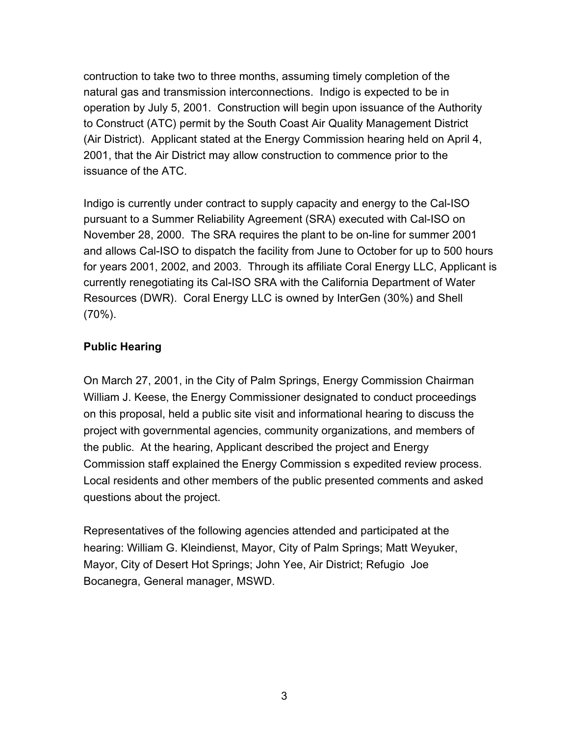contruction to take two to three months, assuming timely completion of the natural gas and transmission interconnections. Indigo is expected to be in operation by July 5, 2001. Construction will begin upon issuance of the Authority to Construct (ATC) permit by the South Coast Air Quality Management District (Air District). Applicant stated at the Energy Commission hearing held on April 4, 2001, that the Air District may allow construction to commence prior to the issuance of the ATC.

Indigo is currently under contract to supply capacity and energy to the Cal-ISO pursuant to a Summer Reliability Agreement (SRA) executed with Cal-ISO on November 28, 2000. The SRA requires the plant to be on-line for summer 2001 and allows Cal-ISO to dispatch the facility from June to October for up to 500 hours for years 2001, 2002, and 2003. Through its affiliate Coral Energy LLC, Applicant is currently renegotiating its Cal-ISO SRA with the California Department of Water Resources (DWR). Coral Energy LLC is owned by InterGen (30%) and Shell (70%).

## **Public Hearing**

On March 27, 2001, in the City of Palm Springs, Energy Commission Chairman William J. Keese, the Energy Commissioner designated to conduct proceedings on this proposal, held a public site visit and informational hearing to discuss the project with governmental agencies, community organizations, and members of the public. At the hearing, Applicant described the project and Energy Commission staff explained the Energy Commission s expedited review process. Local residents and other members of the public presented comments and asked questions about the project.

Representatives of the following agencies attended and participated at the hearing: William G. Kleindienst, Mayor, City of Palm Springs; Matt Weyuker, Mayor, City of Desert Hot Springs; John Yee, Air District; Refugio Joe Bocanegra, General manager, MSWD.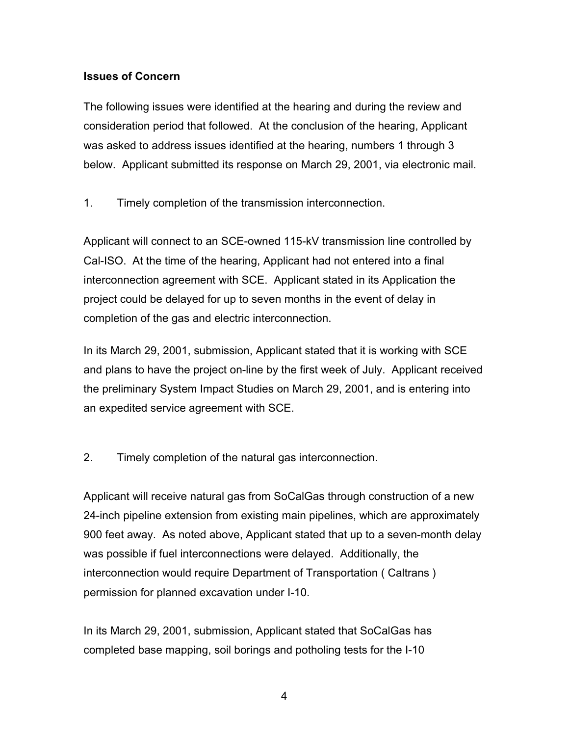### **Issues of Concern**

The following issues were identified at the hearing and during the review and consideration period that followed. At the conclusion of the hearing, Applicant was asked to address issues identified at the hearing, numbers 1 through 3 below. Applicant submitted its response on March 29, 2001, via electronic mail.

1. Timely completion of the transmission interconnection.

Applicant will connect to an SCE-owned 115-kV transmission line controlled by Cal-ISO. At the time of the hearing, Applicant had not entered into a final interconnection agreement with SCE. Applicant stated in its Application the project could be delayed for up to seven months in the event of delay in completion of the gas and electric interconnection.

In its March 29, 2001, submission, Applicant stated that it is working with SCE and plans to have the project on-line by the first week of July. Applicant received the preliminary System Impact Studies on March 29, 2001, and is entering into an expedited service agreement with SCE.

2. Timely completion of the natural gas interconnection.

Applicant will receive natural gas from SoCalGas through construction of a new 24-inch pipeline extension from existing main pipelines, which are approximately 900 feet away. As noted above, Applicant stated that up to a seven-month delay was possible if fuel interconnections were delayed. Additionally, the interconnection would require Department of Transportation ( Caltrans ) permission for planned excavation under I-10.

In its March 29, 2001, submission, Applicant stated that SoCalGas has completed base mapping, soil borings and potholing tests for the I-10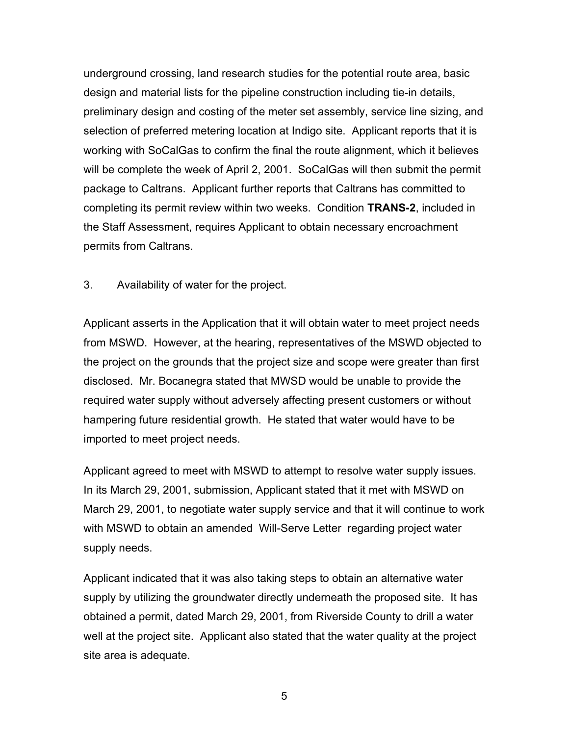underground crossing, land research studies for the potential route area, basic design and material lists for the pipeline construction including tie-in details, preliminary design and costing of the meter set assembly, service line sizing, and selection of preferred metering location at Indigo site. Applicant reports that it is working with SoCalGas to confirm the final the route alignment, which it believes will be complete the week of April 2, 2001. SoCalGas will then submit the permit package to Caltrans. Applicant further reports that Caltrans has committed to completing its permit review within two weeks. Condition **TRANS-2**, included in the Staff Assessment, requires Applicant to obtain necessary encroachment permits from Caltrans.

### 3. Availability of water for the project.

Applicant asserts in the Application that it will obtain water to meet project needs from MSWD. However, at the hearing, representatives of the MSWD objected to the project on the grounds that the project size and scope were greater than first disclosed. Mr. Bocanegra stated that MWSD would be unable to provide the required water supply without adversely affecting present customers or without hampering future residential growth. He stated that water would have to be imported to meet project needs.

Applicant agreed to meet with MSWD to attempt to resolve water supply issues. In its March 29, 2001, submission, Applicant stated that it met with MSWD on March 29, 2001, to negotiate water supply service and that it will continue to work with MSWD to obtain an amended Will-Serve Letter regarding project water supply needs.

Applicant indicated that it was also taking steps to obtain an alternative water supply by utilizing the groundwater directly underneath the proposed site. It has obtained a permit, dated March 29, 2001, from Riverside County to drill a water well at the project site. Applicant also stated that the water quality at the project site area is adequate.

5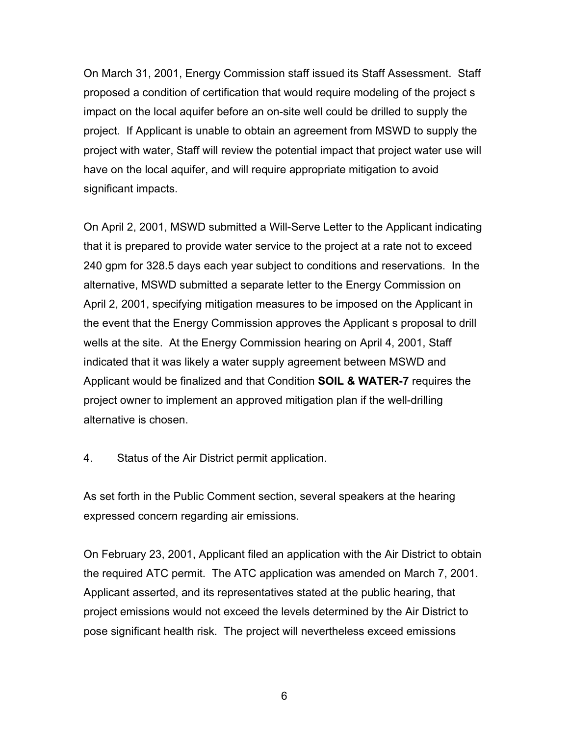On March 31, 2001, Energy Commission staff issued its Staff Assessment. Staff proposed a condition of certification that would require modeling of the project s impact on the local aquifer before an on-site well could be drilled to supply the project. If Applicant is unable to obtain an agreement from MSWD to supply the project with water, Staff will review the potential impact that project water use will have on the local aquifer, and will require appropriate mitigation to avoid significant impacts.

On April 2, 2001, MSWD submitted a Will-Serve Letter to the Applicant indicating that it is prepared to provide water service to the project at a rate not to exceed 240 gpm for 328.5 days each year subject to conditions and reservations. In the alternative, MSWD submitted a separate letter to the Energy Commission on April 2, 2001, specifying mitigation measures to be imposed on the Applicant in the event that the Energy Commission approves the Applicant s proposal to drill wells at the site. At the Energy Commission hearing on April 4, 2001, Staff indicated that it was likely a water supply agreement between MSWD and Applicant would be finalized and that Condition **SOIL & WATER-7** requires the project owner to implement an approved mitigation plan if the well-drilling alternative is chosen.

4. Status of the Air District permit application.

As set forth in the Public Comment section, several speakers at the hearing expressed concern regarding air emissions.

On February 23, 2001, Applicant filed an application with the Air District to obtain the required ATC permit. The ATC application was amended on March 7, 2001. Applicant asserted, and its representatives stated at the public hearing, that project emissions would not exceed the levels determined by the Air District to pose significant health risk. The project will nevertheless exceed emissions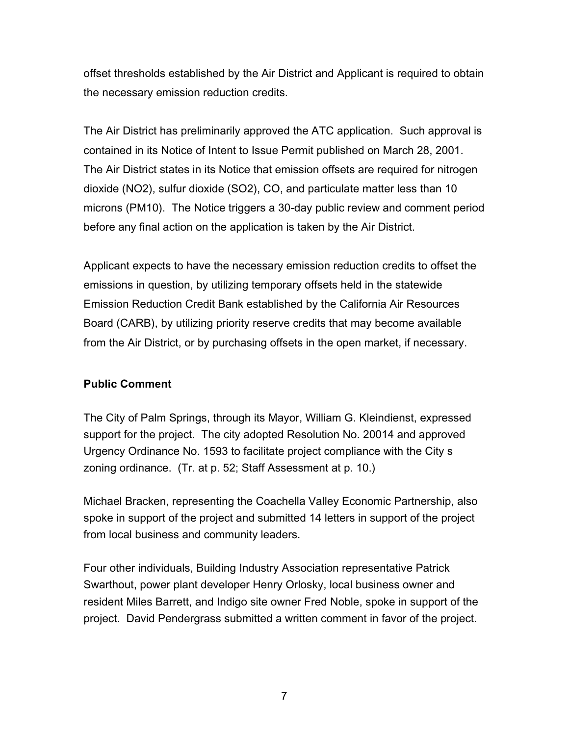offset thresholds established by the Air District and Applicant is required to obtain the necessary emission reduction credits.

The Air District has preliminarily approved the ATC application. Such approval is contained in its Notice of Intent to Issue Permit published on March 28, 2001. The Air District states in its Notice that emission offsets are required for nitrogen dioxide (NO2), sulfur dioxide (SO2), CO, and particulate matter less than 10 microns (PM10). The Notice triggers a 30-day public review and comment period before any final action on the application is taken by the Air District.

Applicant expects to have the necessary emission reduction credits to offset the emissions in question, by utilizing temporary offsets held in the statewide Emission Reduction Credit Bank established by the California Air Resources Board (CARB), by utilizing priority reserve credits that may become available from the Air District, or by purchasing offsets in the open market, if necessary.

## **Public Comment**

The City of Palm Springs, through its Mayor, William G. Kleindienst, expressed support for the project. The city adopted Resolution No. 20014 and approved Urgency Ordinance No. 1593 to facilitate project compliance with the City s zoning ordinance. (Tr. at p. 52; Staff Assessment at p. 10.)

Michael Bracken, representing the Coachella Valley Economic Partnership, also spoke in support of the project and submitted 14 letters in support of the project from local business and community leaders.

Four other individuals, Building Industry Association representative Patrick Swarthout, power plant developer Henry Orlosky, local business owner and resident Miles Barrett, and Indigo site owner Fred Noble, spoke in support of the project. David Pendergrass submitted a written comment in favor of the project.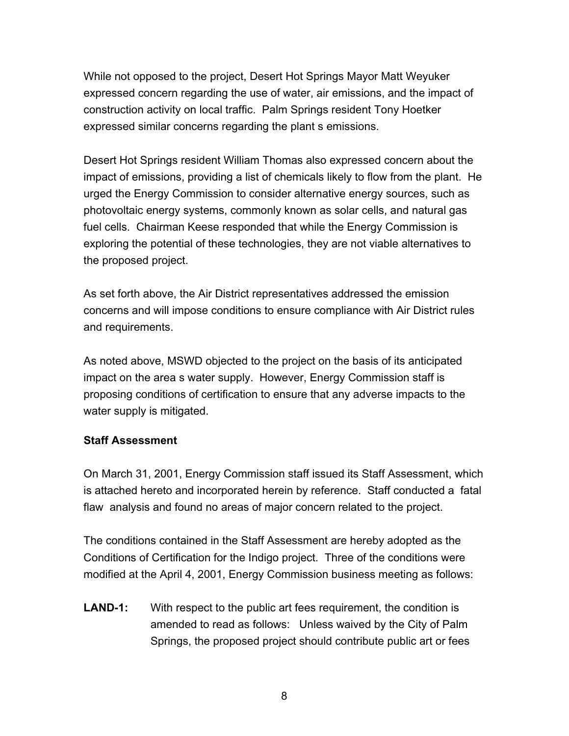While not opposed to the project, Desert Hot Springs Mayor Matt Weyuker expressed concern regarding the use of water, air emissions, and the impact of construction activity on local traffic. Palm Springs resident Tony Hoetker expressed similar concerns regarding the plant s emissions.

Desert Hot Springs resident William Thomas also expressed concern about the impact of emissions, providing a list of chemicals likely to flow from the plant. He urged the Energy Commission to consider alternative energy sources, such as photovoltaic energy systems, commonly known as solar cells, and natural gas fuel cells. Chairman Keese responded that while the Energy Commission is exploring the potential of these technologies, they are not viable alternatives to the proposed project.

As set forth above, the Air District representatives addressed the emission concerns and will impose conditions to ensure compliance with Air District rules and requirements.

As noted above, MSWD objected to the project on the basis of its anticipated impact on the area s water supply. However, Energy Commission staff is proposing conditions of certification to ensure that any adverse impacts to the water supply is mitigated.

#### **Staff Assessment**

On March 31, 2001, Energy Commission staff issued its Staff Assessment, which is attached hereto and incorporated herein by reference. Staff conducted a fatal flaw analysis and found no areas of major concern related to the project.

The conditions contained in the Staff Assessment are hereby adopted as the Conditions of Certification for the Indigo project. Three of the conditions were modified at the April 4, 2001, Energy Commission business meeting as follows:

**LAND-1:** With respect to the public art fees requirement, the condition is amended to read as follows: Unless waived by the City of Palm Springs, the proposed project should contribute public art or fees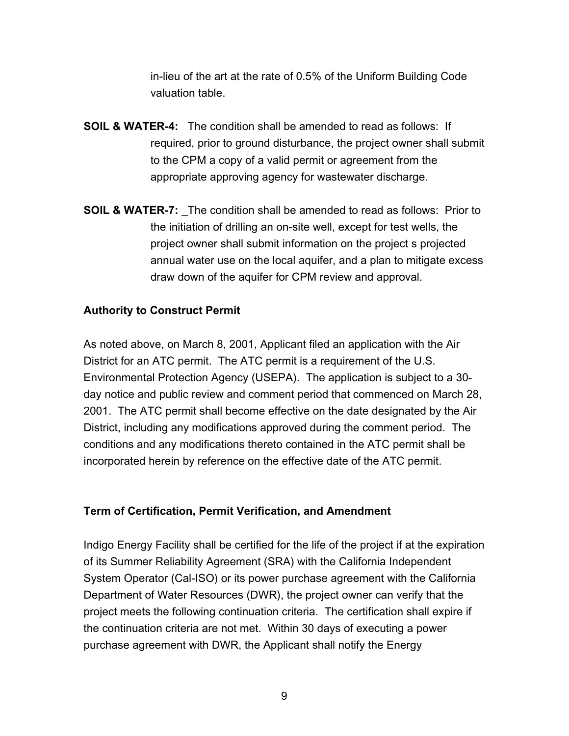in-lieu of the art at the rate of 0.5% of the Uniform Building Code valuation table.

- **SOIL & WATER-4:** The condition shall be amended to read as follows: If required, prior to ground disturbance, the project owner shall submit to the CPM a copy of a valid permit or agreement from the appropriate approving agency for wastewater discharge.
- **SOIL & WATER-7:** The condition shall be amended to read as follows: Prior to the initiation of drilling an on-site well, except for test wells, the project owner shall submit information on the project s projected annual water use on the local aquifer, and a plan to mitigate excess draw down of the aquifer for CPM review and approval.

#### **Authority to Construct Permit**

As noted above, on March 8, 2001, Applicant filed an application with the Air District for an ATC permit. The ATC permit is a requirement of the U.S. Environmental Protection Agency (USEPA). The application is subject to a 30 day notice and public review and comment period that commenced on March 28, 2001. The ATC permit shall become effective on the date designated by the Air District, including any modifications approved during the comment period. The conditions and any modifications thereto contained in the ATC permit shall be incorporated herein by reference on the effective date of the ATC permit.

#### **Term of Certification, Permit Verification, and Amendment**

Indigo Energy Facility shall be certified for the life of the project if at the expiration of its Summer Reliability Agreement (SRA) with the California Independent System Operator (Cal-ISO) or its power purchase agreement with the California Department of Water Resources (DWR), the project owner can verify that the project meets the following continuation criteria. The certification shall expire if the continuation criteria are not met. Within 30 days of executing a power purchase agreement with DWR, the Applicant shall notify the Energy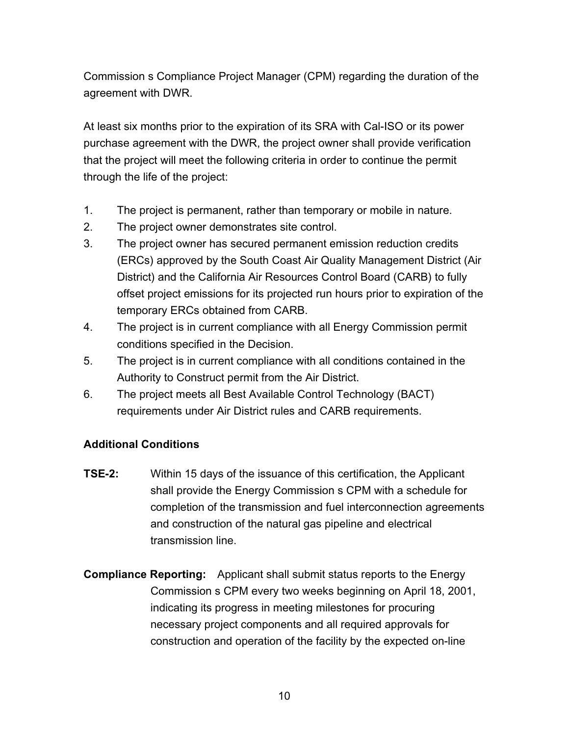Commission s Compliance Project Manager (CPM) regarding the duration of the agreement with DWR.

At least six months prior to the expiration of its SRA with Cal-ISO or its power purchase agreement with the DWR, the project owner shall provide verification that the project will meet the following criteria in order to continue the permit through the life of the project:

- 1. The project is permanent, rather than temporary or mobile in nature.
- 2. The project owner demonstrates site control.
- 3. The project owner has secured permanent emission reduction credits (ERCs) approved by the South Coast Air Quality Management District (Air District) and the California Air Resources Control Board (CARB) to fully offset project emissions for its projected run hours prior to expiration of the temporary ERCs obtained from CARB.
- 4. The project is in current compliance with all Energy Commission permit conditions specified in the Decision.
- 5. The project is in current compliance with all conditions contained in the Authority to Construct permit from the Air District.
- 6. The project meets all Best Available Control Technology (BACT) requirements under Air District rules and CARB requirements.

## **Additional Conditions**

- **TSE-2:** Within 15 days of the issuance of this certification, the Applicant shall provide the Energy Commission s CPM with a schedule for completion of the transmission and fuel interconnection agreements and construction of the natural gas pipeline and electrical transmission line.
- **Compliance Reporting:** Applicant shall submit status reports to the Energy Commission s CPM every two weeks beginning on April 18, 2001, indicating its progress in meeting milestones for procuring necessary project components and all required approvals for construction and operation of the facility by the expected on-line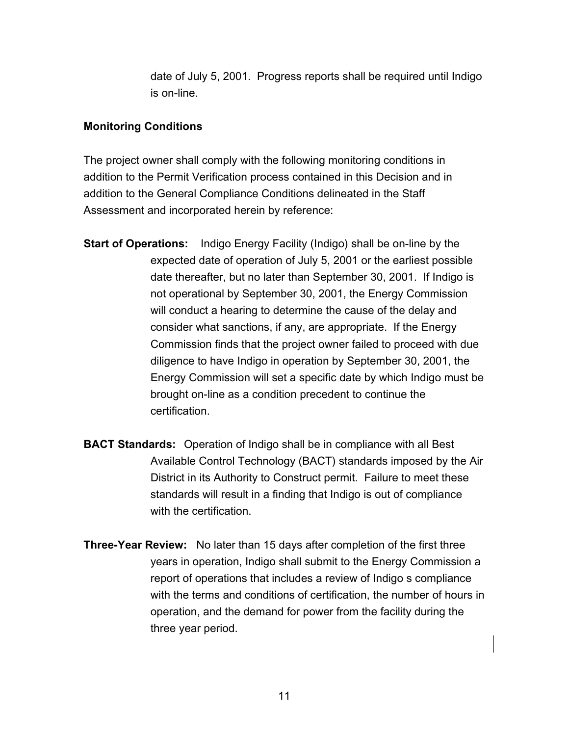date of July 5, 2001. Progress reports shall be required until Indigo is on-line.

#### **Monitoring Conditions**

The project owner shall comply with the following monitoring conditions in addition to the Permit Verification process contained in this Decision and in addition to the General Compliance Conditions delineated in the Staff Assessment and incorporated herein by reference:

- **Start of Operations:** Indigo Energy Facility (Indigo) shall be on-line by the expected date of operation of July 5, 2001 or the earliest possible date thereafter, but no later than September 30, 2001. If Indigo is not operational by September 30, 2001, the Energy Commission will conduct a hearing to determine the cause of the delay and consider what sanctions, if any, are appropriate. If the Energy Commission finds that the project owner failed to proceed with due diligence to have Indigo in operation by September 30, 2001, the Energy Commission will set a specific date by which Indigo must be brought on-line as a condition precedent to continue the certification.
- **BACT Standards:** Operation of Indigo shall be in compliance with all Best Available Control Technology (BACT) standards imposed by the Air District in its Authority to Construct permit. Failure to meet these standards will result in a finding that Indigo is out of compliance with the certification.
- **Three-Year Review:** No later than 15 days after completion of the first three years in operation, Indigo shall submit to the Energy Commission a report of operations that includes a review of Indigo s compliance with the terms and conditions of certification, the number of hours in operation, and the demand for power from the facility during the three year period.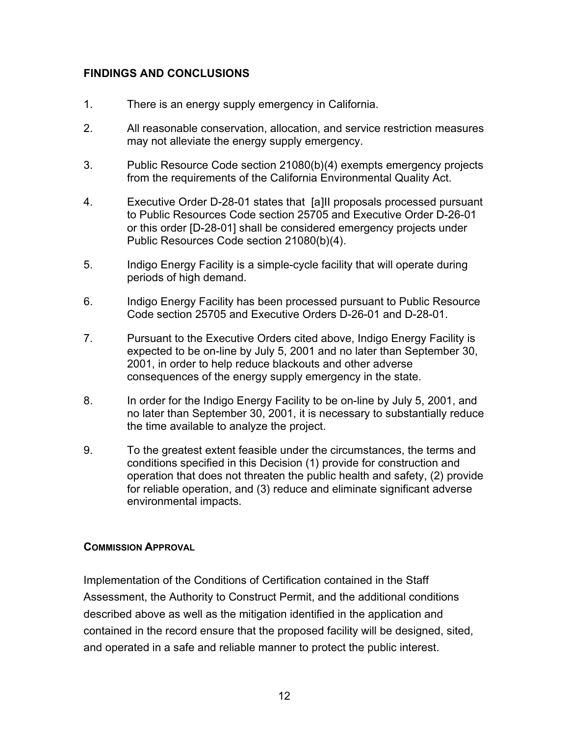# **FINDINGS AND CONCLUSIONS**

- 1. There is an energy supply emergency in California.
- 2. All reasonable conservation, allocation, and service restriction measures may not alleviate the energy supply emergency.
- 3. Public Resource Code section 21080(b)(4) exempts emergency projects from the requirements of the California Environmental Quality Act.
- 4. Executive Order D-28-01 states that [a]II proposals processed pursuant to Public Resources Code section 25705 and Executive Order D-26-01 or this order [D-28-01] shall be considered emergency projects under Public Resources Code section 21080(b)(4).
- 5. Indigo Energy Facility is a simple-cycle facility that will operate during periods of high demand.
- 6. Indigo Energy Facility has been processed pursuant to Public Resource Code section 25705 and Executive Orders D-26-01 and D-28-01.
- 7. Pursuant to the Executive Orders cited above, Indigo Energy Facility is expected to be on-line by July 5, 2001 and no later than September 30, 2001, in order to help reduce blackouts and other adverse consequences of the energy supply emergency in the state.
- 8. In order for the Indigo Energy Facility to be on-line by July 5, 2001, and no later than September 30, 2001, it is necessary to substantially reduce the time available to analyze the project.
- 9. To the greatest extent feasible under the circumstances, the terms and conditions specified in this Decision (1) provide for construction and operation that does not threaten the public health and safety, (2) provide for reliable operation, and (3) reduce and eliminate significant adverse environmental impacts.

## **COMMISSION APPROVAL**

Implementation of the Conditions of Certification contained in the Staff Assessment, the Authority to Construct Permit, and the additional conditions described above as well as the mitigation identified in the application and contained in the record ensure that the proposed facility will be designed, sited, and operated in a safe and reliable manner to protect the public interest.